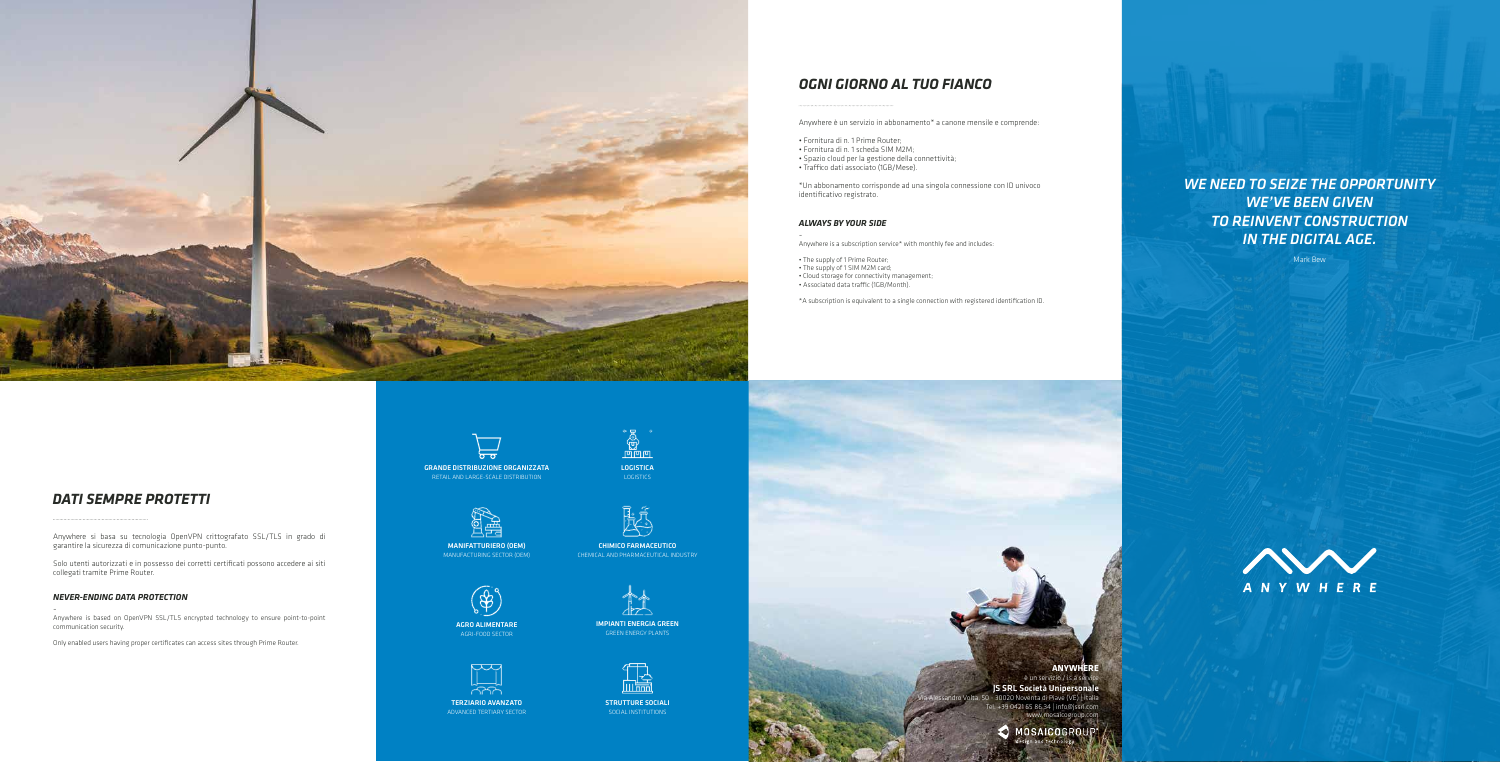Anywhere è un servizio in abbonamento\* a canone mensile e comprende:

• Fornitura di n. 1 Prime Router; • Fornitura di n. 1 scheda SIM M2M; • Spazio cloud per la gestione della connettività; • Traffico dati associato (1GB/Mese).

\*Un abbonamento corrisponde ad una singola connessione con ID univoco identificativo registrato.

#### *ALWAYS BY YOUR SIDE*



Anywhere is a subscription service\* with monthly fee and includes:

• The supply of 1 Prime Router; • The supply of 1 SIM M2M card; • Cloud storage for connectivity management; • Associated data traffic (1GB/Month).

\*A subscription is equivalent to a single connection with registered identification ID.

# *OGNI GIORNO AL TUO FIANCO*

.<br>- 30020 Noventa di Piave (VE) | Italia Tel. +39 0421 65 86 34 | info@jssrl.com www.mosaicogroup.com



**10SAICOGRI** 

Anywhere si basa su tecnologia OpenVPN crittografato SSL/TLS in grado di garantire la sicurezza di comunicazione punto-punto.

Solo utenti autorizzati e in possesso dei corretti certificati possono accedere ai siti collegati tramite Prime Router.

### *NEVER-ENDING DATA PROTECTION*

- Anywhere is based on OpenVPN SSL/TLS encrypted technology to ensure point-to-point communication security.

Only enabled users having proper certificates can access sites through Prime Router.



## *DATI SEMPRE PROTETTI*

**ANYWHERE** è un servizio / is a service JS SRL Società Unipersonale *WE NEED TO SEIZE THE OPPORTUNITY WE'VE BEEN GIVEN TO REINVENT CONSTRUCTION IN THE DIGITAL AGE.*

Mark Bew



GRANDE DISTRIBUZIONE ORGANIZZATA RETAIL AND LARGE-SCALE DISTRIBUTION



LOGISTICA LOGISTICS



MANIFATTURIERO (OEM) MANUFACTURING SECTOR (OEM)



CHIMICO FARMACEUTICO CHEMICAL AND PHARMACEUTICAL INDUSTRY



AGRO ALIMENTARE AGRI-FOOD SECTOR



IMPIANTI ENERGIA GREEN GREEN ENERGY PLANTS



TERZIARIO AVANZATO ADVANCED TERTIARY SECTOR



STRUTTURE SOCIALI SOCIAL INSTITUTIONS